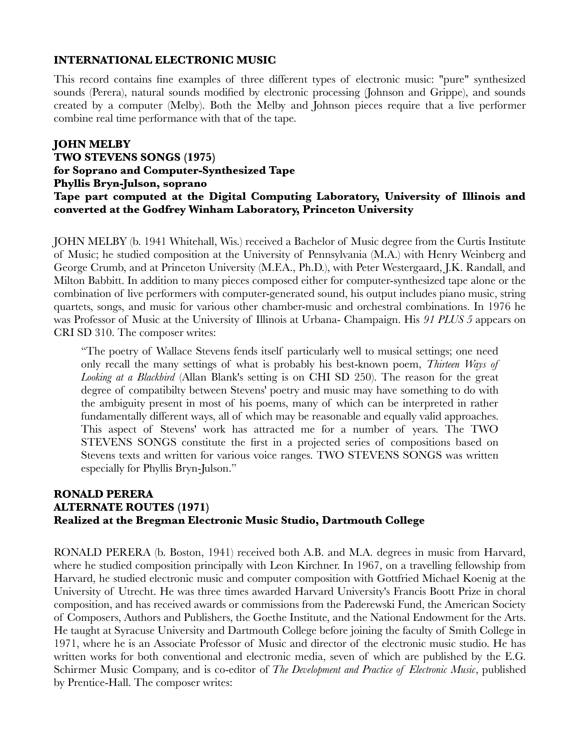### **INTERNATIONAL ELECTRONIC MUSIC**

This record contains fine examples of three different types of electronic music: "pure" synthesized sounds (Perera), natural sounds modified by electronic processing (Johnson and Grippe), and sounds created by a computer (Melby). Both the Melby and Johnson pieces require that a live performer combine real time performance with that of the tape.

# **JOHN MELBY**

**TWO STEVENS SONGS (1975) for Soprano and Computer-Synthesized Tape Phyllis Bryn-Julson, soprano Tape part computed at the Digital Computing Laboratory, University of Illinois and converted at the Godfrey Winham Laboratory, Princeton University**

JOHN MELBY (b. 1941 Whitehall, Wis.) received a Bachelor of Music degree from the Curtis Institute of Music; he studied composition at the University of Pennsylvania (M.A.) with Henry Weinberg and George Crumb, and at Princeton University (M.F.A., Ph.D.), with Peter Westergaard, J.K. Randall, and Milton Babbitt. In addition to many pieces composed either for computer-synthesized tape alone or the combination of live performers with computer-generated sound, his output includes piano music, string quartets, songs, and music for various other chamber-music and orchestral combinations. In 1976 he was Professor of Music at the University of Illinois at Urbana- Champaign. His *91 PLUS 5* appears on CRI SD 310. The composer writes:

"The poetry of Wallace Stevens fends itself particularly well to musical settings; one need only recall the many settings of what is probably his best-known poem, *Thirteen Ways of Looking at a Blackbird* (Allan Blank's setting is on CHI SD 250). The reason for the great degree of compatibilty between Stevens' poetry and music may have something to do with the ambiguity present in most of his poems, many of which can be interpreted in rather fundamentally different ways, all of which may be reasonable and equally valid approaches. This aspect of Stevens' work has attracted me for a number of years. The TWO STEVENS SONGS constitute the first in a projected series of compositions based on Stevens texts and written for various voice ranges. TWO STEVENS SONGS was written especially for Phyllis Bryn-Julson."

# **RONALD PERERA ALTERNATE ROUTES (1971) Realized at the Bregman Electronic Music Studio, Dartmouth College**

RONALD PERERA (b. Boston, 1941) received both A.B. and M.A. degrees in music from Harvard, where he studied composition principally with Leon Kirchner. In 1967, on a travelling fellowship from Harvard, he studied electronic music and computer composition with Gottfried Michael Koenig at the University of Utrecht. He was three times awarded Harvard University's Francis Boott Prize in choral composition, and has received awards or commissions from the Paderewski Fund, the American Society of Composers, Authors and Publishers, the Goethe Institute, and the National Endowment for the Arts. He taught at Syracuse University and Dartmouth College before joining the faculty of Smith College in 1971, where he is an Associate Professor of Music and director of the electronic music studio. He has written works for both conventional and electronic media, seven of which are published by the E.G. Schirmer Music Company, and is co-editor of *The Development and Practice of Electronic Music*, published by Prentice-Hall. The composer writes: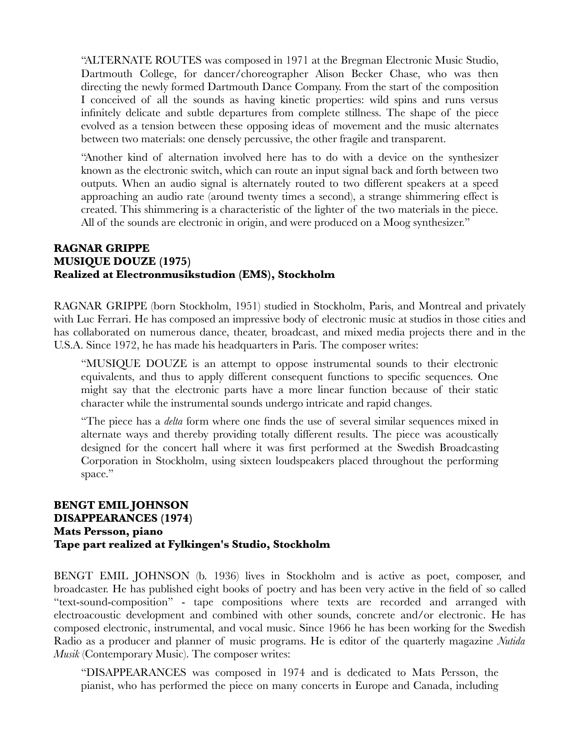"ALTERNATE ROUTES was composed in 1971 at the Bregman Electronic Music Studio, Dartmouth College, for dancer/choreographer Alison Becker Chase, who was then directing the newly formed Dartmouth Dance Company. From the start of the composition I conceived of all the sounds as having kinetic properties: wild spins and runs versus infinitely delicate and subtle departures from complete stillness. The shape of the piece evolved as a tension between these opposing ideas of movement and the music alternates between two materials: one densely percussive, the other fragile and transparent.

"Another kind of alternation involved here has to do with a device on the synthesizer known as the electronic switch, which can route an input signal back and forth between two outputs. When an audio signal is alternately routed to two different speakers at a speed approaching an audio rate (around twenty times a second), a strange shimmering effect is created. This shimmering is a characteristic of the lighter of the two materials in the piece. All of the sounds are electronic in origin, and were produced on a Moog synthesizer."

#### **RAGNAR GRIPPE MUSIQUE DOUZE (1975) Realized at Electronmusikstudion (EMS), Stockholm**

RAGNAR GRIPPE (born Stockholm, 1951) studied in Stockholm, Paris, and Montreal and privately with Luc Ferrari. He has composed an impressive body of electronic music at studios in those cities and has collaborated on numerous dance, theater, broadcast, and mixed media projects there and in the U.S.A. Since 1972, he has made his headquarters in Paris. The composer writes:

"MUSIQUE DOUZE is an attempt to oppose instrumental sounds to their electronic equivalents, and thus to apply different consequent functions to specific sequences. One might say that the electronic parts have a more linear function because of their static character while the instrumental sounds undergo intricate and rapid changes.

"The piece has a *delta* form where one finds the use of several similar sequences mixed in alternate ways and thereby providing totally different results. The piece was acoustically designed for the concert hall where it was first performed at the Swedish Broadcasting Corporation in Stockholm, using sixteen loudspeakers placed throughout the performing space."

### **BENGT EMIL JOHNSON DISAPPEARANCES (1974) Mats Persson, piano Tape part realized at Fylkingen's Studio, Stockholm**

BENGT EMIL JOHNSON (b. 1936) lives in Stockholm and is active as poet, composer, and broadcaster. He has published eight books of poetry and has been very active in the field of so called "text-sound-composition" - tape compositions where texts are recorded and arranged with electroacoustic development and combined with other sounds, concrete and/or electronic. He has composed electronic, instrumental, and vocal music. Since 1966 he has been working for the Swedish Radio as a producer and planner of music programs. He is editor of the quarterly magazine *Nutida Musik* (Contemporary Music). The composer writes:

"DISAPPEARANCES was composed in 1974 and is dedicated to Mats Persson, the pianist, who has performed the piece on many concerts in Europe and Canada, including